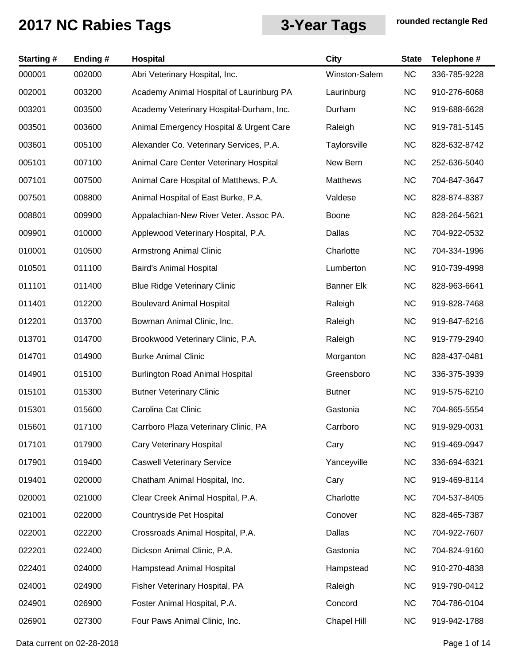| <b>Starting#</b> | Ending # | Hospital                                 | <b>City</b>       | <b>State</b> | Telephone #  |
|------------------|----------|------------------------------------------|-------------------|--------------|--------------|
| 000001           | 002000   | Abri Veterinary Hospital, Inc.           | Winston-Salem     | <b>NC</b>    | 336-785-9228 |
| 002001           | 003200   | Academy Animal Hospital of Laurinburg PA | Laurinburg        | <b>NC</b>    | 910-276-6068 |
| 003201           | 003500   | Academy Veterinary Hospital-Durham, Inc. | Durham            | <b>NC</b>    | 919-688-6628 |
| 003501           | 003600   | Animal Emergency Hospital & Urgent Care  | Raleigh           | <b>NC</b>    | 919-781-5145 |
| 003601           | 005100   | Alexander Co. Veterinary Services, P.A.  | Taylorsville      | <b>NC</b>    | 828-632-8742 |
| 005101           | 007100   | Animal Care Center Veterinary Hospital   | New Bern          | <b>NC</b>    | 252-636-5040 |
| 007101           | 007500   | Animal Care Hospital of Matthews, P.A.   | Matthews          | <b>NC</b>    | 704-847-3647 |
| 007501           | 008800   | Animal Hospital of East Burke, P.A.      | Valdese           | <b>NC</b>    | 828-874-8387 |
| 008801           | 009900   | Appalachian-New River Veter. Assoc PA.   | <b>Boone</b>      | <b>NC</b>    | 828-264-5621 |
| 009901           | 010000   | Applewood Veterinary Hospital, P.A.      | Dallas            | <b>NC</b>    | 704-922-0532 |
| 010001           | 010500   | <b>Armstrong Animal Clinic</b>           | Charlotte         | <b>NC</b>    | 704-334-1996 |
| 010501           | 011100   | Baird's Animal Hospital                  | Lumberton         | <b>NC</b>    | 910-739-4998 |
| 011101           | 011400   | <b>Blue Ridge Veterinary Clinic</b>      | <b>Banner Elk</b> | <b>NC</b>    | 828-963-6641 |
| 011401           | 012200   | <b>Boulevard Animal Hospital</b>         | Raleigh           | <b>NC</b>    | 919-828-7468 |
| 012201           | 013700   | Bowman Animal Clinic, Inc.               | Raleigh           | <b>NC</b>    | 919-847-6216 |
| 013701           | 014700   | Brookwood Veterinary Clinic, P.A.        | Raleigh           | <b>NC</b>    | 919-779-2940 |
| 014701           | 014900   | <b>Burke Animal Clinic</b>               | Morganton         | <b>NC</b>    | 828-437-0481 |
| 014901           | 015100   | <b>Burlington Road Animal Hospital</b>   | Greensboro        | <b>NC</b>    | 336-375-3939 |
| 015101           | 015300   | <b>Butner Veterinary Clinic</b>          | <b>Butner</b>     | <b>NC</b>    | 919-575-6210 |
| 015301           | 015600   | Carolina Cat Clinic                      | Gastonia          | <b>NC</b>    | 704-865-5554 |
| 015601           | 017100   | Carrboro Plaza Veterinary Clinic, PA     | Carrboro          | <b>NC</b>    | 919-929-0031 |
| 017101           | 017900   | <b>Cary Veterinary Hospital</b>          | Cary              | <b>NC</b>    | 919-469-0947 |
| 017901           | 019400   | <b>Caswell Veterinary Service</b>        | Yanceyville       | <b>NC</b>    | 336-694-6321 |
| 019401           | 020000   | Chatham Animal Hospital, Inc.            | Cary              | <b>NC</b>    | 919-469-8114 |
| 020001           | 021000   | Clear Creek Animal Hospital, P.A.        | Charlotte         | <b>NC</b>    | 704-537-8405 |
| 021001           | 022000   | Countryside Pet Hospital                 | Conover           | <b>NC</b>    | 828-465-7387 |
| 022001           | 022200   | Crossroads Animal Hospital, P.A.         | Dallas            | <b>NC</b>    | 704-922-7607 |
| 022201           | 022400   | Dickson Animal Clinic, P.A.              | Gastonia          | <b>NC</b>    | 704-824-9160 |
| 022401           | 024000   | Hampstead Animal Hospital                | Hampstead         | <b>NC</b>    | 910-270-4838 |
| 024001           | 024900   | Fisher Veterinary Hospital, PA           | Raleigh           | <b>NC</b>    | 919-790-0412 |
| 024901           | 026900   | Foster Animal Hospital, P.A.             | Concord           | <b>NC</b>    | 704-786-0104 |
| 026901           | 027300   | Four Paws Animal Clinic, Inc.            | Chapel Hill       | <b>NC</b>    | 919-942-1788 |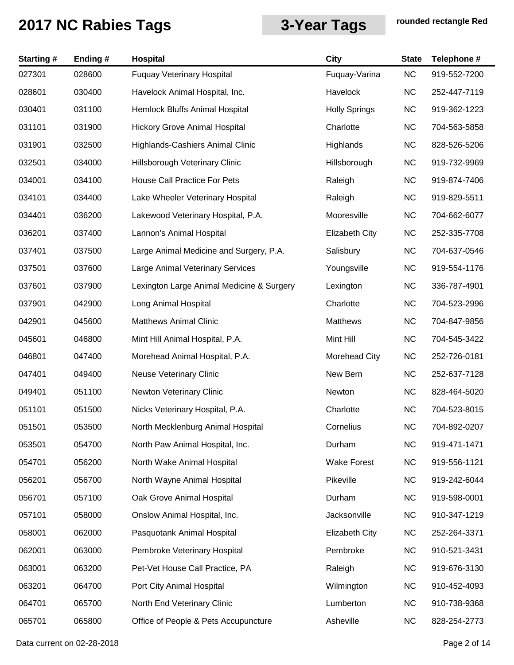| <b>Starting#</b> | Ending # | Hospital                                  | <b>City</b>           | <b>State</b> | Telephone #  |
|------------------|----------|-------------------------------------------|-----------------------|--------------|--------------|
| 027301           | 028600   | <b>Fuquay Veterinary Hospital</b>         | Fuquay-Varina         | NC           | 919-552-7200 |
| 028601           | 030400   | Havelock Animal Hospital, Inc.            | Havelock              | <b>NC</b>    | 252-447-7119 |
| 030401           | 031100   | Hemlock Bluffs Animal Hospital            | <b>Holly Springs</b>  | <b>NC</b>    | 919-362-1223 |
| 031101           | 031900   | <b>Hickory Grove Animal Hospital</b>      | Charlotte             | <b>NC</b>    | 704-563-5858 |
| 031901           | 032500   | Highlands-Cashiers Animal Clinic          | Highlands             | <b>NC</b>    | 828-526-5206 |
| 032501           | 034000   | Hillsborough Veterinary Clinic            | Hillsborough          | <b>NC</b>    | 919-732-9969 |
| 034001           | 034100   | House Call Practice For Pets              | Raleigh               | <b>NC</b>    | 919-874-7406 |
| 034101           | 034400   | Lake Wheeler Veterinary Hospital          | Raleigh               | <b>NC</b>    | 919-829-5511 |
| 034401           | 036200   | Lakewood Veterinary Hospital, P.A.        | Mooresville           | <b>NC</b>    | 704-662-6077 |
| 036201           | 037400   | Lannon's Animal Hospital                  | <b>Elizabeth City</b> | <b>NC</b>    | 252-335-7708 |
| 037401           | 037500   | Large Animal Medicine and Surgery, P.A.   | Salisbury             | NC           | 704-637-0546 |
| 037501           | 037600   | Large Animal Veterinary Services          | Youngsville           | <b>NC</b>    | 919-554-1176 |
| 037601           | 037900   | Lexington Large Animal Medicine & Surgery | Lexington             | <b>NC</b>    | 336-787-4901 |
| 037901           | 042900   | Long Animal Hospital                      | Charlotte             | NC           | 704-523-2996 |
| 042901           | 045600   | <b>Matthews Animal Clinic</b>             | <b>Matthews</b>       | NC           | 704-847-9856 |
| 045601           | 046800   | Mint Hill Animal Hospital, P.A.           | Mint Hill             | <b>NC</b>    | 704-545-3422 |
| 046801           | 047400   | Morehead Animal Hospital, P.A.            | Morehead City         | <b>NC</b>    | 252-726-0181 |
| 047401           | 049400   | <b>Neuse Veterinary Clinic</b>            | New Bern              | NC           | 252-637-7128 |
| 049401           | 051100   | Newton Veterinary Clinic                  | Newton                | <b>NC</b>    | 828-464-5020 |
| 051101           | 051500   | Nicks Veterinary Hospital, P.A.           | Charlotte             | <b>NC</b>    | 704-523-8015 |
| 051501           | 053500   | North Mecklenburg Animal Hospital         | Cornelius             | NC           | 704-892-0207 |
| 053501           | 054700   | North Paw Animal Hospital, Inc.           | Durham                | <b>NC</b>    | 919-471-1471 |
| 054701           | 056200   | North Wake Animal Hospital                | <b>Wake Forest</b>    | <b>NC</b>    | 919-556-1121 |
| 056201           | 056700   | North Wayne Animal Hospital               | Pikeville             | <b>NC</b>    | 919-242-6044 |
| 056701           | 057100   | Oak Grove Animal Hospital                 | Durham                | <b>NC</b>    | 919-598-0001 |
| 057101           | 058000   | Onslow Animal Hospital, Inc.              | Jacksonville          | <b>NC</b>    | 910-347-1219 |
| 058001           | 062000   | Pasquotank Animal Hospital                | <b>Elizabeth City</b> | <b>NC</b>    | 252-264-3371 |
| 062001           | 063000   | Pembroke Veterinary Hospital              | Pembroke              | <b>NC</b>    | 910-521-3431 |
| 063001           | 063200   | Pet-Vet House Call Practice, PA           | Raleigh               | <b>NC</b>    | 919-676-3130 |
| 063201           | 064700   | Port City Animal Hospital                 | Wilmington            | <b>NC</b>    | 910-452-4093 |
| 064701           | 065700   | North End Veterinary Clinic               | Lumberton             | <b>NC</b>    | 910-738-9368 |
| 065701           | 065800   | Office of People & Pets Accupuncture      | Asheville             | NC           | 828-254-2773 |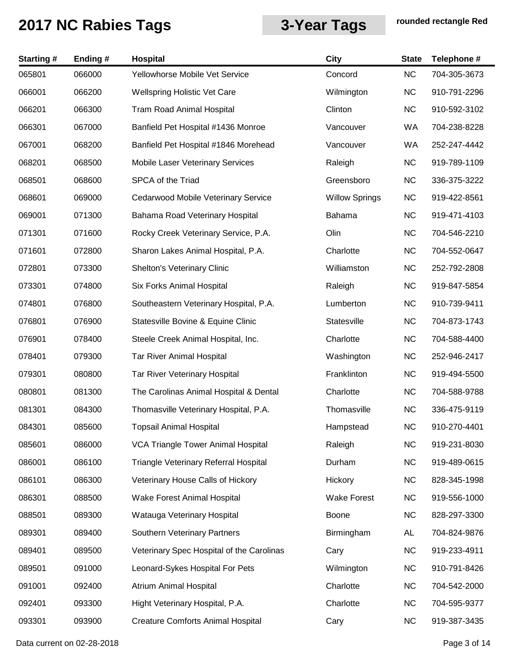| <b>Starting#</b> | Ending# | Hospital                                     | City                  | <b>State</b> | Telephone #  |
|------------------|---------|----------------------------------------------|-----------------------|--------------|--------------|
| 065801           | 066000  | Yellowhorse Mobile Vet Service               | Concord               | <b>NC</b>    | 704-305-3673 |
| 066001           | 066200  | <b>Wellspring Holistic Vet Care</b>          | Wilmington            | <b>NC</b>    | 910-791-2296 |
| 066201           | 066300  | <b>Tram Road Animal Hospital</b>             | Clinton               | <b>NC</b>    | 910-592-3102 |
| 066301           | 067000  | Banfield Pet Hospital #1436 Monroe           | Vancouver             | WA           | 704-238-8228 |
| 067001           | 068200  | Banfield Pet Hospital #1846 Morehead         | Vancouver             | WA           | 252-247-4442 |
| 068201           | 068500  | Mobile Laser Veterinary Services             | Raleigh               | <b>NC</b>    | 919-789-1109 |
| 068501           | 068600  | SPCA of the Triad                            | Greensboro            | <b>NC</b>    | 336-375-3222 |
| 068601           | 069000  | Cedarwood Mobile Veterinary Service          | <b>Willow Springs</b> | <b>NC</b>    | 919-422-8561 |
| 069001           | 071300  | Bahama Road Veterinary Hospital              | Bahama                | <b>NC</b>    | 919-471-4103 |
| 071301           | 071600  | Rocky Creek Veterinary Service, P.A.         | Olin                  | <b>NC</b>    | 704-546-2210 |
| 071601           | 072800  | Sharon Lakes Animal Hospital, P.A.           | Charlotte             | <b>NC</b>    | 704-552-0647 |
| 072801           | 073300  | Shelton's Veterinary Clinic                  | Williamston           | <b>NC</b>    | 252-792-2808 |
| 073301           | 074800  | Six Forks Animal Hospital                    | Raleigh               | <b>NC</b>    | 919-847-5854 |
| 074801           | 076800  | Southeastern Veterinary Hospital, P.A.       | Lumberton             | <b>NC</b>    | 910-739-9411 |
| 076801           | 076900  | Statesville Bovine & Equine Clinic           | Statesville           | <b>NC</b>    | 704-873-1743 |
| 076901           | 078400  | Steele Creek Animal Hospital, Inc.           | Charlotte             | <b>NC</b>    | 704-588-4400 |
| 078401           | 079300  | <b>Tar River Animal Hospital</b>             | Washington            | <b>NC</b>    | 252-946-2417 |
| 079301           | 080800  | Tar River Veterinary Hospital                | Franklinton           | <b>NC</b>    | 919-494-5500 |
| 080801           | 081300  | The Carolinas Animal Hospital & Dental       | Charlotte             | <b>NC</b>    | 704-588-9788 |
| 081301           | 084300  | Thomasville Veterinary Hospital, P.A.        | Thomasville           | <b>NC</b>    | 336-475-9119 |
| 084301           | 085600  | <b>Topsail Animal Hospital</b>               | Hampstead             | NC.          | 910-270-4401 |
| 085601           | 086000  | <b>VCA Triangle Tower Animal Hospital</b>    | Raleigh               | <b>NC</b>    | 919-231-8030 |
| 086001           | 086100  | <b>Triangle Veterinary Referral Hospital</b> | Durham                | <b>NC</b>    | 919-489-0615 |
| 086101           | 086300  | Veterinary House Calls of Hickory            | Hickory               | <b>NC</b>    | 828-345-1998 |
| 086301           | 088500  | Wake Forest Animal Hospital                  | <b>Wake Forest</b>    | <b>NC</b>    | 919-556-1000 |
| 088501           | 089300  | Watauga Veterinary Hospital                  | Boone                 | <b>NC</b>    | 828-297-3300 |
| 089301           | 089400  | Southern Veterinary Partners                 | Birmingham            | AL           | 704-824-9876 |
| 089401           | 089500  | Veterinary Spec Hospital of the Carolinas    | Cary                  | <b>NC</b>    | 919-233-4911 |
| 089501           | 091000  | Leonard-Sykes Hospital For Pets              | Wilmington            | <b>NC</b>    | 910-791-8426 |
| 091001           | 092400  | <b>Atrium Animal Hospital</b>                | Charlotte             | <b>NC</b>    | 704-542-2000 |
| 092401           | 093300  | Hight Veterinary Hospital, P.A.              | Charlotte             | <b>NC</b>    | 704-595-9377 |
| 093301           | 093900  | <b>Creature Comforts Animal Hospital</b>     | Cary                  | <b>NC</b>    | 919-387-3435 |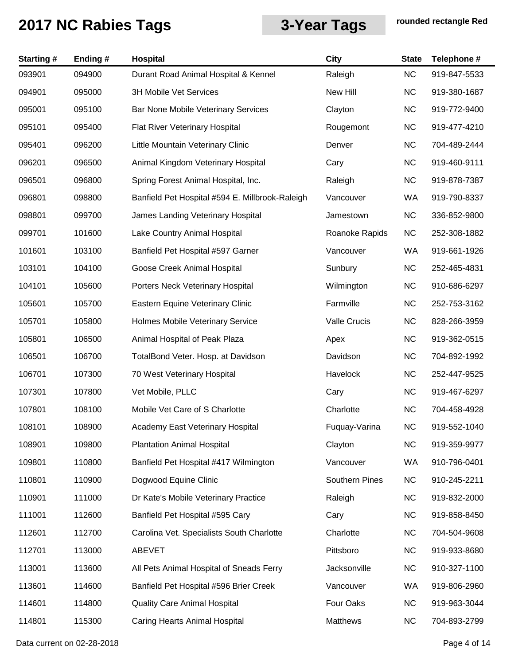| <b>Starting#</b> | Ending# | Hospital                                        | City                  | <b>State</b> | Telephone #  |
|------------------|---------|-------------------------------------------------|-----------------------|--------------|--------------|
| 093901           | 094900  | Durant Road Animal Hospital & Kennel            | Raleigh               | <b>NC</b>    | 919-847-5533 |
| 094901           | 095000  | <b>3H Mobile Vet Services</b>                   | New Hill              | <b>NC</b>    | 919-380-1687 |
| 095001           | 095100  | Bar None Mobile Veterinary Services             | Clayton               | <b>NC</b>    | 919-772-9400 |
| 095101           | 095400  | Flat River Veterinary Hospital                  | Rougemont             | <b>NC</b>    | 919-477-4210 |
| 095401           | 096200  | Little Mountain Veterinary Clinic               | Denver                | <b>NC</b>    | 704-489-2444 |
| 096201           | 096500  | Animal Kingdom Veterinary Hospital              | Cary                  | <b>NC</b>    | 919-460-9111 |
| 096501           | 096800  | Spring Forest Animal Hospital, Inc.             | Raleigh               | <b>NC</b>    | 919-878-7387 |
| 096801           | 098800  | Banfield Pet Hospital #594 E. Millbrook-Raleigh | Vancouver             | WA           | 919-790-8337 |
| 098801           | 099700  | James Landing Veterinary Hospital               | Jamestown             | <b>NC</b>    | 336-852-9800 |
| 099701           | 101600  | Lake Country Animal Hospital                    | Roanoke Rapids        | <b>NC</b>    | 252-308-1882 |
| 101601           | 103100  | Banfield Pet Hospital #597 Garner               | Vancouver             | WA           | 919-661-1926 |
| 103101           | 104100  | Goose Creek Animal Hospital                     | Sunbury               | <b>NC</b>    | 252-465-4831 |
| 104101           | 105600  | Porters Neck Veterinary Hospital                | Wilmington            | <b>NC</b>    | 910-686-6297 |
| 105601           | 105700  | Eastern Equine Veterinary Clinic                | Farmville             | <b>NC</b>    | 252-753-3162 |
| 105701           | 105800  | Holmes Mobile Veterinary Service                | Valle Crucis          | <b>NC</b>    | 828-266-3959 |
| 105801           | 106500  | Animal Hospital of Peak Plaza                   | Apex                  | <b>NC</b>    | 919-362-0515 |
| 106501           | 106700  | TotalBond Veter. Hosp. at Davidson              | Davidson              | <b>NC</b>    | 704-892-1992 |
| 106701           | 107300  | 70 West Veterinary Hospital                     | Havelock              | <b>NC</b>    | 252-447-9525 |
| 107301           | 107800  | Vet Mobile, PLLC                                | Cary                  | <b>NC</b>    | 919-467-6297 |
| 107801           | 108100  | Mobile Vet Care of S Charlotte                  | Charlotte             | <b>NC</b>    | 704-458-4928 |
| 108101           | 108900  | Academy East Veterinary Hospital                | Fuguay-Varina         | <b>NC</b>    | 919-552-1040 |
| 108901           | 109800  | <b>Plantation Animal Hospital</b>               | Clayton               | <b>NC</b>    | 919-359-9977 |
| 109801           | 110800  | Banfield Pet Hospital #417 Wilmington           | Vancouver             | WA           | 910-796-0401 |
| 110801           | 110900  | Dogwood Equine Clinic                           | <b>Southern Pines</b> | <b>NC</b>    | 910-245-2211 |
| 110901           | 111000  | Dr Kate's Mobile Veterinary Practice            | Raleigh               | <b>NC</b>    | 919-832-2000 |
| 111001           | 112600  | Banfield Pet Hospital #595 Cary                 | Cary                  | <b>NC</b>    | 919-858-8450 |
| 112601           | 112700  | Carolina Vet. Specialists South Charlotte       | Charlotte             | <b>NC</b>    | 704-504-9608 |
| 112701           | 113000  | <b>ABEVET</b>                                   | Pittsboro             | <b>NC</b>    | 919-933-8680 |
| 113001           | 113600  | All Pets Animal Hospital of Sneads Ferry        | Jacksonville          | <b>NC</b>    | 910-327-1100 |
| 113601           | 114600  | Banfield Pet Hospital #596 Brier Creek          | Vancouver             | WA           | 919-806-2960 |
| 114601           | 114800  | <b>Quality Care Animal Hospital</b>             | Four Oaks             | <b>NC</b>    | 919-963-3044 |
| 114801           | 115300  | Caring Hearts Animal Hospital                   | Matthews              | <b>NC</b>    | 704-893-2799 |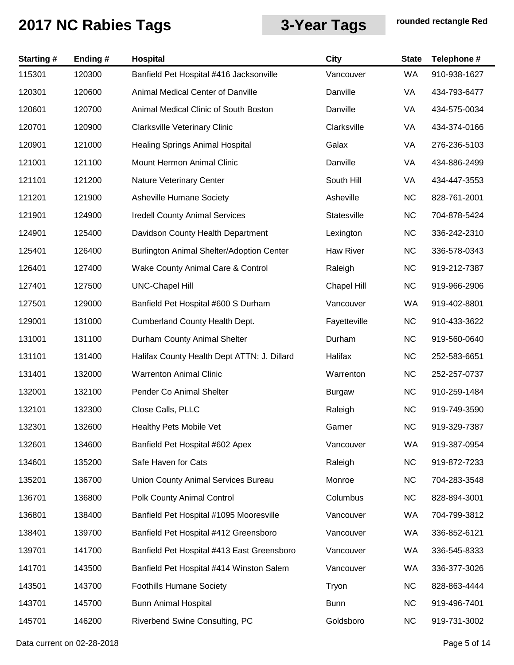| <b>Starting#</b> | Ending# | Hospital                                    | <b>City</b>        | <b>State</b> | Telephone #  |
|------------------|---------|---------------------------------------------|--------------------|--------------|--------------|
| 115301           | 120300  | Banfield Pet Hospital #416 Jacksonville     | Vancouver          | WA           | 910-938-1627 |
| 120301           | 120600  | Animal Medical Center of Danville           | Danville           | VA           | 434-793-6477 |
| 120601           | 120700  | Animal Medical Clinic of South Boston       | Danville           | VA           | 434-575-0034 |
| 120701           | 120900  | <b>Clarksville Veterinary Clinic</b>        | Clarksville        | VA           | 434-374-0166 |
| 120901           | 121000  | <b>Healing Springs Animal Hospital</b>      | Galax              | VA           | 276-236-5103 |
| 121001           | 121100  | <b>Mount Hermon Animal Clinic</b>           | Danville           | VA           | 434-886-2499 |
| 121101           | 121200  | Nature Veterinary Center                    | South Hill         | VA           | 434-447-3553 |
| 121201           | 121900  | Asheville Humane Society                    | Asheville          | <b>NC</b>    | 828-761-2001 |
| 121901           | 124900  | <b>Iredell County Animal Services</b>       | Statesville        | <b>NC</b>    | 704-878-5424 |
| 124901           | 125400  | Davidson County Health Department           | Lexington          | <b>NC</b>    | 336-242-2310 |
| 125401           | 126400  | Burlington Animal Shelter/Adoption Center   | <b>Haw River</b>   | <b>NC</b>    | 336-578-0343 |
| 126401           | 127400  | Wake County Animal Care & Control           | Raleigh            | <b>NC</b>    | 919-212-7387 |
| 127401           | 127500  | <b>UNC-Chapel Hill</b>                      | <b>Chapel Hill</b> | <b>NC</b>    | 919-966-2906 |
| 127501           | 129000  | Banfield Pet Hospital #600 S Durham         | Vancouver          | WA           | 919-402-8801 |
| 129001           | 131000  | Cumberland County Health Dept.              | Fayetteville       | NC           | 910-433-3622 |
| 131001           | 131100  | Durham County Animal Shelter                | Durham             | <b>NC</b>    | 919-560-0640 |
| 131101           | 131400  | Halifax County Health Dept ATTN: J. Dillard | Halifax            | <b>NC</b>    | 252-583-6651 |
| 131401           | 132000  | <b>Warrenton Animal Clinic</b>              | Warrenton          | <b>NC</b>    | 252-257-0737 |
| 132001           | 132100  | Pender Co Animal Shelter                    | <b>Burgaw</b>      | <b>NC</b>    | 910-259-1484 |
| 132101           | 132300  | Close Calls, PLLC                           | Raleigh            | <b>NC</b>    | 919-749-3590 |
| 132301           | 132600  | Healthy Pets Mobile Vet                     | Garner             | <b>NC</b>    | 919-329-7387 |
| 132601           | 134600  | Banfield Pet Hospital #602 Apex             | Vancouver          | WA           | 919-387-0954 |
| 134601           | 135200  | Safe Haven for Cats                         | Raleigh            | <b>NC</b>    | 919-872-7233 |
| 135201           | 136700  | Union County Animal Services Bureau         | Monroe             | <b>NC</b>    | 704-283-3548 |
| 136701           | 136800  | Polk County Animal Control                  | Columbus           | <b>NC</b>    | 828-894-3001 |
| 136801           | 138400  | Banfield Pet Hospital #1095 Mooresville     | Vancouver          | WA           | 704-799-3812 |
| 138401           | 139700  | Banfield Pet Hospital #412 Greensboro       | Vancouver          | WA           | 336-852-6121 |
| 139701           | 141700  | Banfield Pet Hospital #413 East Greensboro  | Vancouver          | WA           | 336-545-8333 |
| 141701           | 143500  | Banfield Pet Hospital #414 Winston Salem    | Vancouver          | WA           | 336-377-3026 |
| 143501           | 143700  | <b>Foothills Humane Society</b>             | Tryon              | <b>NC</b>    | 828-863-4444 |
| 143701           | 145700  | <b>Bunn Animal Hospital</b>                 | <b>Bunn</b>        | <b>NC</b>    | 919-496-7401 |
| 145701           | 146200  | Riverbend Swine Consulting, PC              | Goldsboro          | <b>NC</b>    | 919-731-3002 |

Data current on 02-28-2018 **Page 5 of 14**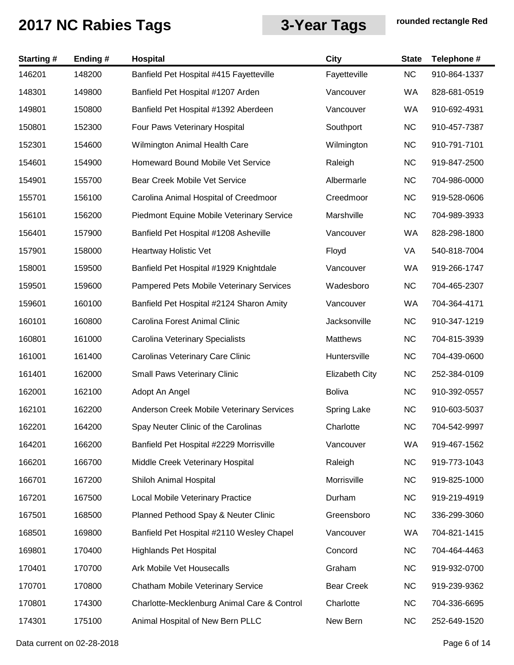| <b>Starting#</b> | Ending# | <b>Hospital</b>                             | <b>City</b>           | <b>State</b> | Telephone #  |
|------------------|---------|---------------------------------------------|-----------------------|--------------|--------------|
| 146201           | 148200  | Banfield Pet Hospital #415 Fayetteville     | Fayetteville          | NC           | 910-864-1337 |
| 148301           | 149800  | Banfield Pet Hospital #1207 Arden           | Vancouver             | WA           | 828-681-0519 |
| 149801           | 150800  | Banfield Pet Hospital #1392 Aberdeen        | Vancouver             | WA           | 910-692-4931 |
| 150801           | 152300  | Four Paws Veterinary Hospital               | Southport             | <b>NC</b>    | 910-457-7387 |
| 152301           | 154600  | Wilmington Animal Health Care               | Wilmington            | <b>NC</b>    | 910-791-7101 |
| 154601           | 154900  | Homeward Bound Mobile Vet Service           | Raleigh               | <b>NC</b>    | 919-847-2500 |
| 154901           | 155700  | Bear Creek Mobile Vet Service               | Albermarle            | <b>NC</b>    | 704-986-0000 |
| 155701           | 156100  | Carolina Animal Hospital of Creedmoor       | Creedmoor             | <b>NC</b>    | 919-528-0606 |
| 156101           | 156200  | Piedmont Equine Mobile Veterinary Service   | Marshville            | <b>NC</b>    | 704-989-3933 |
| 156401           | 157900  | Banfield Pet Hospital #1208 Asheville       | Vancouver             | WA           | 828-298-1800 |
| 157901           | 158000  | Heartway Holistic Vet                       | Floyd                 | VA           | 540-818-7004 |
| 158001           | 159500  | Banfield Pet Hospital #1929 Knightdale      | Vancouver             | WA           | 919-266-1747 |
| 159501           | 159600  | Pampered Pets Mobile Veterinary Services    | Wadesboro             | <b>NC</b>    | 704-465-2307 |
| 159601           | 160100  | Banfield Pet Hospital #2124 Sharon Amity    | Vancouver             | WA           | 704-364-4171 |
| 160101           | 160800  | Carolina Forest Animal Clinic               | Jacksonville          | <b>NC</b>    | 910-347-1219 |
| 160801           | 161000  | Carolina Veterinary Specialists             | Matthews              | <b>NC</b>    | 704-815-3939 |
| 161001           | 161400  | Carolinas Veterinary Care Clinic            | Huntersville          | <b>NC</b>    | 704-439-0600 |
| 161401           | 162000  | <b>Small Paws Veterinary Clinic</b>         | <b>Elizabeth City</b> | <b>NC</b>    | 252-384-0109 |
| 162001           | 162100  | Adopt An Angel                              | <b>Boliva</b>         | <b>NC</b>    | 910-392-0557 |
| 162101           | 162200  | Anderson Creek Mobile Veterinary Services   | Spring Lake           | <b>NC</b>    | 910-603-5037 |
| 162201           | 164200  | Spay Neuter Clinic of the Carolinas         | Charlotte             | <b>NC</b>    | 704-542-9997 |
| 164201           | 166200  | Banfield Pet Hospital #2229 Morrisville     | Vancouver             | WA           | 919-467-1562 |
| 166201           | 166700  | Middle Creek Veterinary Hospital            | Raleigh               | NC           | 919-773-1043 |
| 166701           | 167200  | Shiloh Animal Hospital                      | Morrisville           | <b>NC</b>    | 919-825-1000 |
| 167201           | 167500  | <b>Local Mobile Veterinary Practice</b>     | Durham                | <b>NC</b>    | 919-219-4919 |
| 167501           | 168500  | Planned Pethood Spay & Neuter Clinic        | Greensboro            | <b>NC</b>    | 336-299-3060 |
| 168501           | 169800  | Banfield Pet Hospital #2110 Wesley Chapel   | Vancouver             | WA           | 704-821-1415 |
| 169801           | 170400  | <b>Highlands Pet Hospital</b>               | Concord               | <b>NC</b>    | 704-464-4463 |
| 170401           | 170700  | Ark Mobile Vet Housecalls                   | Graham                | <b>NC</b>    | 919-932-0700 |
| 170701           | 170800  | Chatham Mobile Veterinary Service           | <b>Bear Creek</b>     | <b>NC</b>    | 919-239-9362 |
| 170801           | 174300  | Charlotte-Mecklenburg Animal Care & Control | Charlotte             | <b>NC</b>    | 704-336-6695 |
| 174301           | 175100  | Animal Hospital of New Bern PLLC            | New Bern              | <b>NC</b>    | 252-649-1520 |

Data current on 02-28-2018 **Page 6 of 14**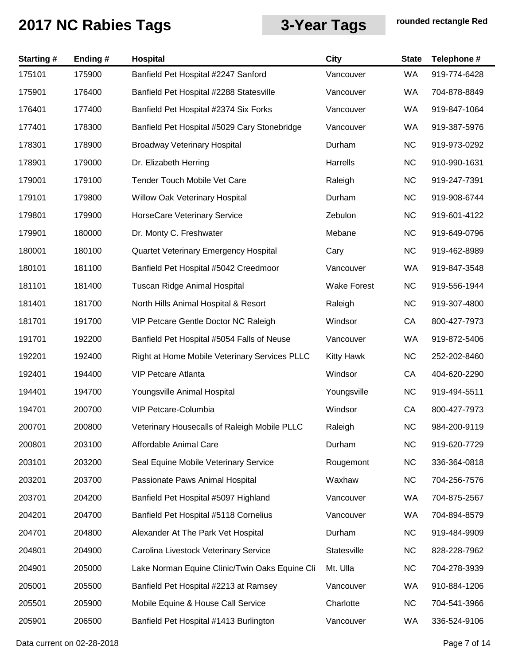| <b>Starting#</b> | Ending# | Hospital                                       | City               | <b>State</b> | Telephone #  |
|------------------|---------|------------------------------------------------|--------------------|--------------|--------------|
| 175101           | 175900  | Banfield Pet Hospital #2247 Sanford            | Vancouver          | WA           | 919-774-6428 |
| 175901           | 176400  | Banfield Pet Hospital #2288 Statesville        | Vancouver          | WA           | 704-878-8849 |
| 176401           | 177400  | Banfield Pet Hospital #2374 Six Forks          | Vancouver          | WA           | 919-847-1064 |
| 177401           | 178300  | Banfield Pet Hospital #5029 Cary Stonebridge   | Vancouver          | WA           | 919-387-5976 |
| 178301           | 178900  | <b>Broadway Veterinary Hospital</b>            | Durham             | <b>NC</b>    | 919-973-0292 |
| 178901           | 179000  | Dr. Elizabeth Herring                          | Harrells           | <b>NC</b>    | 910-990-1631 |
| 179001           | 179100  | <b>Tender Touch Mobile Vet Care</b>            | Raleigh            | <b>NC</b>    | 919-247-7391 |
| 179101           | 179800  | Willow Oak Veterinary Hospital                 | Durham             | <b>NC</b>    | 919-908-6744 |
| 179801           | 179900  | HorseCare Veterinary Service                   | Zebulon            | <b>NC</b>    | 919-601-4122 |
| 179901           | 180000  | Dr. Monty C. Freshwater                        | Mebane             | <b>NC</b>    | 919-649-0796 |
| 180001           | 180100  | Quartet Veterinary Emergency Hospital          | Cary               | NC           | 919-462-8989 |
| 180101           | 181100  | Banfield Pet Hospital #5042 Creedmoor          | Vancouver          | WA           | 919-847-3548 |
| 181101           | 181400  | <b>Tuscan Ridge Animal Hospital</b>            | <b>Wake Forest</b> | <b>NC</b>    | 919-556-1944 |
| 181401           | 181700  | North Hills Animal Hospital & Resort           | Raleigh            | <b>NC</b>    | 919-307-4800 |
| 181701           | 191700  | VIP Petcare Gentle Doctor NC Raleigh           | Windsor            | CA           | 800-427-7973 |
| 191701           | 192200  | Banfield Pet Hospital #5054 Falls of Neuse     | Vancouver          | WA           | 919-872-5406 |
| 192201           | 192400  | Right at Home Mobile Veterinary Services PLLC  | <b>Kitty Hawk</b>  | <b>NC</b>    | 252-202-8460 |
| 192401           | 194400  | <b>VIP Petcare Atlanta</b>                     | Windsor            | CA           | 404-620-2290 |
| 194401           | 194700  | Youngsville Animal Hospital                    | Youngsville        | <b>NC</b>    | 919-494-5511 |
| 194701           | 200700  | VIP Petcare-Columbia                           | Windsor            | CA           | 800-427-7973 |
| 200701           | 200800  | Veterinary Housecalls of Raleigh Mobile PLLC   | Raleigh            | <b>NC</b>    | 984-200-9119 |
| 200801           | 203100  | Affordable Animal Care                         | Durham             | <b>NC</b>    | 919-620-7729 |
| 203101           | 203200  | Seal Equine Mobile Veterinary Service          | Rougemont          | <b>NC</b>    | 336-364-0818 |
| 203201           | 203700  | Passionate Paws Animal Hospital                | Waxhaw             | <b>NC</b>    | 704-256-7576 |
| 203701           | 204200  | Banfield Pet Hospital #5097 Highland           | Vancouver          | WA           | 704-875-2567 |
| 204201           | 204700  | Banfield Pet Hospital #5118 Cornelius          | Vancouver          | WA           | 704-894-8579 |
| 204701           | 204800  | Alexander At The Park Vet Hospital             | Durham             | <b>NC</b>    | 919-484-9909 |
| 204801           | 204900  | Carolina Livestock Veterinary Service          | Statesville        | <b>NC</b>    | 828-228-7962 |
| 204901           | 205000  | Lake Norman Equine Clinic/Twin Oaks Equine Cli | Mt. Ulla           | <b>NC</b>    | 704-278-3939 |
| 205001           | 205500  | Banfield Pet Hospital #2213 at Ramsey          | Vancouver          | WA           | 910-884-1206 |
| 205501           | 205900  | Mobile Equine & House Call Service             | Charlotte          | <b>NC</b>    | 704-541-3966 |
| 205901           | 206500  | Banfield Pet Hospital #1413 Burlington         | Vancouver          | WA           | 336-524-9106 |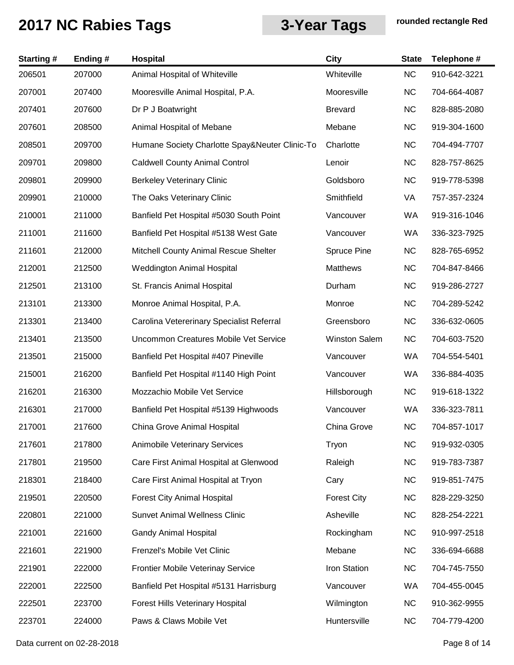| <b>Starting#</b> | Ending# | Hospital                                       | City                 | <b>State</b> | Telephone #  |
|------------------|---------|------------------------------------------------|----------------------|--------------|--------------|
| 206501           | 207000  | Animal Hospital of Whiteville                  | Whiteville           | <b>NC</b>    | 910-642-3221 |
| 207001           | 207400  | Mooresville Animal Hospital, P.A.              | Mooresville          | <b>NC</b>    | 704-664-4087 |
| 207401           | 207600  | Dr P J Boatwright                              | <b>Brevard</b>       | <b>NC</b>    | 828-885-2080 |
| 207601           | 208500  | Animal Hospital of Mebane                      | Mebane               | <b>NC</b>    | 919-304-1600 |
| 208501           | 209700  | Humane Society Charlotte Spay&Neuter Clinic-To | Charlotte            | <b>NC</b>    | 704-494-7707 |
| 209701           | 209800  | <b>Caldwell County Animal Control</b>          | Lenoir               | <b>NC</b>    | 828-757-8625 |
| 209801           | 209900  | <b>Berkeley Veterinary Clinic</b>              | Goldsboro            | <b>NC</b>    | 919-778-5398 |
| 209901           | 210000  | The Oaks Veterinary Clinic                     | Smithfield           | VA           | 757-357-2324 |
| 210001           | 211000  | Banfield Pet Hospital #5030 South Point        | Vancouver            | WA           | 919-316-1046 |
| 211001           | 211600  | Banfield Pet Hospital #5138 West Gate          | Vancouver            | WA           | 336-323-7925 |
| 211601           | 212000  | Mitchell County Animal Rescue Shelter          | Spruce Pine          | <b>NC</b>    | 828-765-6952 |
| 212001           | 212500  | <b>Weddington Animal Hospital</b>              | Matthews             | <b>NC</b>    | 704-847-8466 |
| 212501           | 213100  | St. Francis Animal Hospital                    | Durham               | <b>NC</b>    | 919-286-2727 |
| 213101           | 213300  | Monroe Animal Hospital, P.A.                   | Monroe               | <b>NC</b>    | 704-289-5242 |
| 213301           | 213400  | Carolina Vetererinary Specialist Referral      | Greensboro           | <b>NC</b>    | 336-632-0605 |
| 213401           | 213500  | Uncommon Creatures Mobile Vet Service          | <b>Winston Salem</b> | <b>NC</b>    | 704-603-7520 |
| 213501           | 215000  | Banfield Pet Hospital #407 Pineville           | Vancouver            | WA           | 704-554-5401 |
| 215001           | 216200  | Banfield Pet Hospital #1140 High Point         | Vancouver            | WA           | 336-884-4035 |
| 216201           | 216300  | Mozzachio Mobile Vet Service                   | Hillsborough         | <b>NC</b>    | 919-618-1322 |
| 216301           | 217000  | Banfield Pet Hospital #5139 Highwoods          | Vancouver            | WA           | 336-323-7811 |
| 217001           | 217600  | China Grove Animal Hospital                    | China Grove          | NC.          | 704-857-1017 |
| 217601           | 217800  | <b>Animobile Veterinary Services</b>           | Tryon                | <b>NC</b>    | 919-932-0305 |
| 217801           | 219500  | Care First Animal Hospital at Glenwood         | Raleigh              | <b>NC</b>    | 919-783-7387 |
| 218301           | 218400  | Care First Animal Hospital at Tryon            | Cary                 | <b>NC</b>    | 919-851-7475 |
| 219501           | 220500  | <b>Forest City Animal Hospital</b>             | <b>Forest City</b>   | <b>NC</b>    | 828-229-3250 |
| 220801           | 221000  | <b>Sunvet Animal Wellness Clinic</b>           | Asheville            | <b>NC</b>    | 828-254-2221 |
| 221001           | 221600  | <b>Gandy Animal Hospital</b>                   | Rockingham           | NC           | 910-997-2518 |
| 221601           | 221900  | Frenzel's Mobile Vet Clinic                    | Mebane               | <b>NC</b>    | 336-694-6688 |
| 221901           | 222000  | Frontier Mobile Veterinay Service              | Iron Station         | <b>NC</b>    | 704-745-7550 |
| 222001           | 222500  | Banfield Pet Hospital #5131 Harrisburg         | Vancouver            | WA           | 704-455-0045 |
| 222501           | 223700  | Forest Hills Veterinary Hospital               | Wilmington           | NC           | 910-362-9955 |
| 223701           | 224000  | Paws & Claws Mobile Vet                        | Huntersville         | NC           | 704-779-4200 |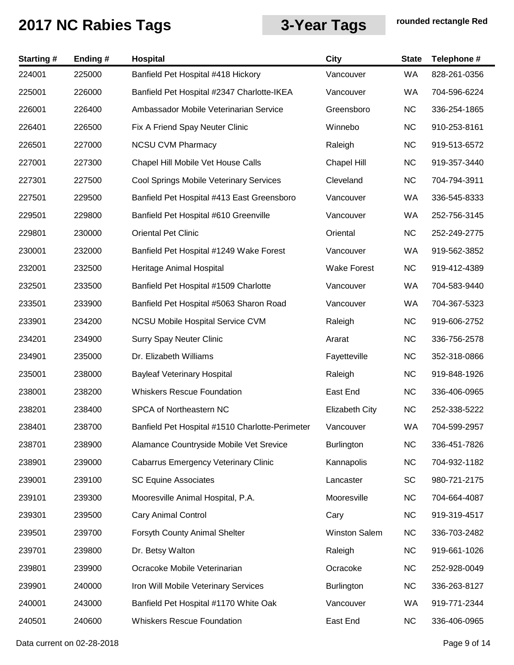| <b>Starting#</b> | Ending# | Hospital                                        | City                  | <b>State</b> | Telephone #  |
|------------------|---------|-------------------------------------------------|-----------------------|--------------|--------------|
| 224001           | 225000  | Banfield Pet Hospital #418 Hickory              | Vancouver             | WA           | 828-261-0356 |
| 225001           | 226000  | Banfield Pet Hospital #2347 Charlotte-IKEA      | Vancouver             | <b>WA</b>    | 704-596-6224 |
| 226001           | 226400  | Ambassador Mobile Veterinarian Service          | Greensboro            | <b>NC</b>    | 336-254-1865 |
| 226401           | 226500  | Fix A Friend Spay Neuter Clinic                 | Winnebo               | <b>NC</b>    | 910-253-8161 |
| 226501           | 227000  | <b>NCSU CVM Pharmacy</b>                        | Raleigh               | <b>NC</b>    | 919-513-6572 |
| 227001           | 227300  | Chapel Hill Mobile Vet House Calls              | <b>Chapel Hill</b>    | <b>NC</b>    | 919-357-3440 |
| 227301           | 227500  | Cool Springs Mobile Veterinary Services         | Cleveland             | <b>NC</b>    | 704-794-3911 |
| 227501           | 229500  | Banfield Pet Hospital #413 East Greensboro      | Vancouver             | WA           | 336-545-8333 |
| 229501           | 229800  | Banfield Pet Hospital #610 Greenville           | Vancouver             | WA           | 252-756-3145 |
| 229801           | 230000  | <b>Oriental Pet Clinic</b>                      | Oriental              | <b>NC</b>    | 252-249-2775 |
| 230001           | 232000  | Banfield Pet Hospital #1249 Wake Forest         | Vancouver             | WA           | 919-562-3852 |
| 232001           | 232500  | Heritage Animal Hospital                        | <b>Wake Forest</b>    | <b>NC</b>    | 919-412-4389 |
| 232501           | 233500  | Banfield Pet Hospital #1509 Charlotte           | Vancouver             | <b>WA</b>    | 704-583-9440 |
| 233501           | 233900  | Banfield Pet Hospital #5063 Sharon Road         | Vancouver             | WA           | 704-367-5323 |
| 233901           | 234200  | <b>NCSU Mobile Hospital Service CVM</b>         | Raleigh               | <b>NC</b>    | 919-606-2752 |
| 234201           | 234900  | <b>Surry Spay Neuter Clinic</b>                 | Ararat                | <b>NC</b>    | 336-756-2578 |
| 234901           | 235000  | Dr. Elizabeth Williams                          | Fayetteville          | <b>NC</b>    | 352-318-0866 |
| 235001           | 238000  | <b>Bayleaf Veterinary Hospital</b>              | Raleigh               | <b>NC</b>    | 919-848-1926 |
| 238001           | 238200  | <b>Whiskers Rescue Foundation</b>               | East End              | <b>NC</b>    | 336-406-0965 |
| 238201           | 238400  | SPCA of Northeastern NC                         | <b>Elizabeth City</b> | <b>NC</b>    | 252-338-5222 |
| 238401           | 238700  | Banfield Pet Hospital #1510 Charlotte-Perimeter | Vancouver             | WA           | 704-599-2957 |
| 238701           | 238900  | Alamance Countryside Mobile Vet Srevice         | <b>Burlington</b>     | <b>NC</b>    | 336-451-7826 |
| 238901           | 239000  | <b>Cabarrus Emergency Veterinary Clinic</b>     | Kannapolis            | <b>NC</b>    | 704-932-1182 |
| 239001           | 239100  | <b>SC Equine Associates</b>                     | Lancaster             | SC           | 980-721-2175 |
| 239101           | 239300  | Mooresville Animal Hospital, P.A.               | Mooresville           | <b>NC</b>    | 704-664-4087 |
| 239301           | 239500  | <b>Cary Animal Control</b>                      | Cary                  | <b>NC</b>    | 919-319-4517 |
| 239501           | 239700  | Forsyth County Animal Shelter                   | <b>Winston Salem</b>  | NC           | 336-703-2482 |
| 239701           | 239800  | Dr. Betsy Walton                                | Raleigh               | NC           | 919-661-1026 |
| 239801           | 239900  | Ocracoke Mobile Veterinarian                    | Ocracoke              | <b>NC</b>    | 252-928-0049 |
| 239901           | 240000  | Iron Will Mobile Veterinary Services            | <b>Burlington</b>     | NC           | 336-263-8127 |
| 240001           | 243000  | Banfield Pet Hospital #1170 White Oak           | Vancouver             | WA           | 919-771-2344 |
| 240501           | 240600  | <b>Whiskers Rescue Foundation</b>               | East End              | NC           | 336-406-0965 |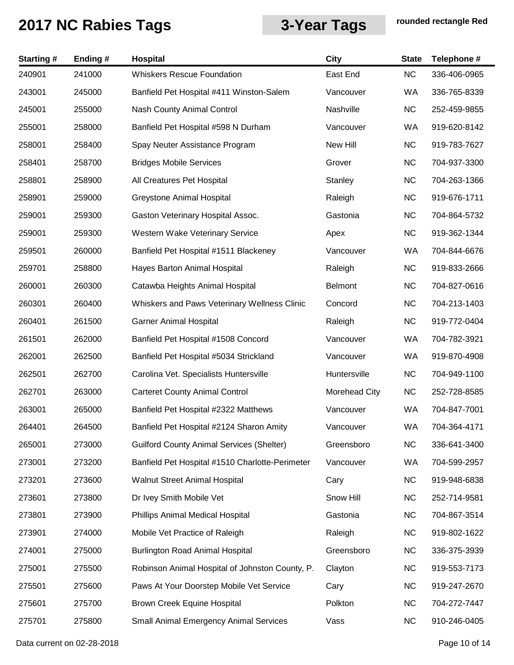| <b>Starting#</b> | Ending# | Hospital                                         | City           | <b>State</b> | Telephone #  |
|------------------|---------|--------------------------------------------------|----------------|--------------|--------------|
| 240901           | 241000  | <b>Whiskers Rescue Foundation</b>                | East End       | <b>NC</b>    | 336-406-0965 |
| 243001           | 245000  | Banfield Pet Hospital #411 Winston-Salem         | Vancouver      | WA           | 336-765-8339 |
| 245001           | 255000  | <b>Nash County Animal Control</b>                | Nashville      | <b>NC</b>    | 252-459-9855 |
| 255001           | 258000  | Banfield Pet Hospital #598 N Durham              | Vancouver      | WA           | 919-620-8142 |
| 258001           | 258400  | Spay Neuter Assistance Program                   | New Hill       | <b>NC</b>    | 919-783-7627 |
| 258401           | 258700  | <b>Bridges Mobile Services</b>                   | Grover         | <b>NC</b>    | 704-937-3300 |
| 258801           | 258900  | All Creatures Pet Hospital                       | Stanley        | <b>NC</b>    | 704-263-1366 |
| 258901           | 259000  | <b>Greystone Animal Hospital</b>                 | Raleigh        | <b>NC</b>    | 919-676-1711 |
| 259001           | 259300  | Gaston Veterinary Hospital Assoc.                | Gastonia       | <b>NC</b>    | 704-864-5732 |
| 259001           | 259300  | Western Wake Veterinary Service                  | Apex           | <b>NC</b>    | 919-362-1344 |
| 259501           | 260000  | Banfield Pet Hospital #1511 Blackeney            | Vancouver      | WA           | 704-844-6676 |
| 259701           | 258800  | Hayes Barton Animal Hospital                     | Raleigh        | <b>NC</b>    | 919-833-2666 |
| 260001           | 260300  | Catawba Heights Animal Hospital                  | <b>Belmont</b> | <b>NC</b>    | 704-827-0616 |
| 260301           | 260400  | Whiskers and Paws Veterinary Wellness Clinic     | Concord        | <b>NC</b>    | 704-213-1403 |
| 260401           | 261500  | <b>Garner Animal Hospital</b>                    | Raleigh        | <b>NC</b>    | 919-772-0404 |
| 261501           | 262000  | Banfield Pet Hospital #1508 Concord              | Vancouver      | WA           | 704-782-3921 |
| 262001           | 262500  | Banfield Pet Hospital #5034 Strickland           | Vancouver      | WA           | 919-870-4908 |
| 262501           | 262700  | Carolina Vet. Specialists Huntersville           | Huntersville   | <b>NC</b>    | 704-949-1100 |
| 262701           | 263000  | <b>Carteret County Animal Control</b>            | Morehead City  | <b>NC</b>    | 252-728-8585 |
| 263001           | 265000  | Banfield Pet Hospital #2322 Matthews             | Vancouver      | WA           | 704-847-7001 |
| 264401           | 264500  | Banfield Pet Hospital #2124 Sharon Amity         | Vancouver      | WA.          | 704-364-4171 |
| 265001           | 273000  | <b>Guilford County Animal Services (Shelter)</b> | Greensboro     | <b>NC</b>    | 336-641-3400 |
| 273001           | 273200  | Banfield Pet Hospital #1510 Charlotte-Perimeter  | Vancouver      | <b>WA</b>    | 704-599-2957 |
| 273201           | 273600  | Walnut Street Animal Hospital                    | Cary           | <b>NC</b>    | 919-948-6838 |
| 273601           | 273800  | Dr Ivey Smith Mobile Vet                         | Snow Hill      | NC           | 252-714-9581 |
| 273801           | 273900  | Phillips Animal Medical Hospital                 | Gastonia       | <b>NC</b>    | 704-867-3514 |
| 273901           | 274000  | Mobile Vet Practice of Raleigh                   | Raleigh        | NC           | 919-802-1622 |
| 274001           | 275000  | <b>Burlington Road Animal Hospital</b>           | Greensboro     | <b>NC</b>    | 336-375-3939 |
| 275001           | 275500  | Robinson Animal Hospital of Johnston County, P.  | Clayton        | <b>NC</b>    | 919-553-7173 |
| 275501           | 275600  | Paws At Your Doorstep Mobile Vet Service         | Cary           | <b>NC</b>    | 919-247-2670 |
| 275601           | 275700  | Brown Creek Equine Hospital                      | Polkton        | <b>NC</b>    | 704-272-7447 |
| 275701           | 275800  | <b>Small Animal Emergency Animal Services</b>    | Vass           | NC           | 910-246-0405 |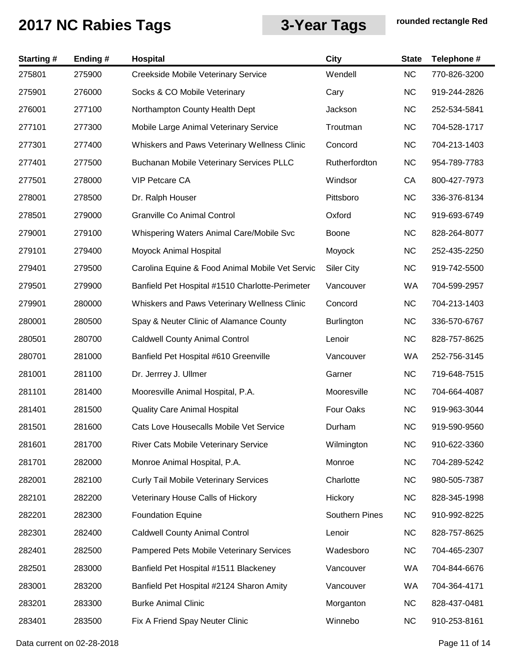| <b>Starting#</b> | Ending# | <b>Hospital</b>                                 | City              | <b>State</b> | Telephone #  |
|------------------|---------|-------------------------------------------------|-------------------|--------------|--------------|
| 275801           | 275900  | Creekside Mobile Veterinary Service             | Wendell           | <b>NC</b>    | 770-826-3200 |
| 275901           | 276000  | Socks & CO Mobile Veterinary                    | Cary              | <b>NC</b>    | 919-244-2826 |
| 276001           | 277100  | Northampton County Health Dept                  | Jackson           | <b>NC</b>    | 252-534-5841 |
| 277101           | 277300  | Mobile Large Animal Veterinary Service          | Troutman          | <b>NC</b>    | 704-528-1717 |
| 277301           | 277400  | Whiskers and Paws Veterinary Wellness Clinic    | Concord           | <b>NC</b>    | 704-213-1403 |
| 277401           | 277500  | <b>Buchanan Mobile Veterinary Services PLLC</b> | Rutherfordton     | <b>NC</b>    | 954-789-7783 |
| 277501           | 278000  | <b>VIP Petcare CA</b>                           | Windsor           | CA           | 800-427-7973 |
| 278001           | 278500  | Dr. Ralph Houser                                | Pittsboro         | <b>NC</b>    | 336-376-8134 |
| 278501           | 279000  | <b>Granville Co Animal Control</b>              | Oxford            | <b>NC</b>    | 919-693-6749 |
| 279001           | 279100  | Whispering Waters Animal Care/Mobile Svc        | Boone             | <b>NC</b>    | 828-264-8077 |
| 279101           | 279400  | Moyock Animal Hospital                          | Moyock            | <b>NC</b>    | 252-435-2250 |
| 279401           | 279500  | Carolina Equine & Food Animal Mobile Vet Servic | <b>Siler City</b> | <b>NC</b>    | 919-742-5500 |
| 279501           | 279900  | Banfield Pet Hospital #1510 Charlotte-Perimeter | Vancouver         | WA           | 704-599-2957 |
| 279901           | 280000  | Whiskers and Paws Veterinary Wellness Clinic    | Concord           | <b>NC</b>    | 704-213-1403 |
| 280001           | 280500  | Spay & Neuter Clinic of Alamance County         | <b>Burlington</b> | <b>NC</b>    | 336-570-6767 |
| 280501           | 280700  | <b>Caldwell County Animal Control</b>           | Lenoir            | <b>NC</b>    | 828-757-8625 |
| 280701           | 281000  | Banfield Pet Hospital #610 Greenville           | Vancouver         | WA           | 252-756-3145 |
| 281001           | 281100  | Dr. Jerrrey J. Ullmer                           | Garner            | <b>NC</b>    | 719-648-7515 |
| 281101           | 281400  | Mooresville Animal Hospital, P.A.               | Mooresville       | <b>NC</b>    | 704-664-4087 |
| 281401           | 281500  | <b>Quality Care Animal Hospital</b>             | Four Oaks         | <b>NC</b>    | 919-963-3044 |
| 281501           | 281600  | Cats Love Housecalls Mobile Vet Service         | Durham            | <b>NC</b>    | 919-590-9560 |
| 281601           | 281700  | River Cats Mobile Veterinary Service            | Wilmington        | <b>NC</b>    | 910-622-3360 |
| 281701           | 282000  | Monroe Animal Hospital, P.A.                    | Monroe            | <b>NC</b>    | 704-289-5242 |
| 282001           | 282100  | <b>Curly Tail Mobile Veterinary Services</b>    | Charlotte         | <b>NC</b>    | 980-505-7387 |
| 282101           | 282200  | Veterinary House Calls of Hickory               | Hickory           | <b>NC</b>    | 828-345-1998 |
| 282201           | 282300  | <b>Foundation Equine</b>                        | Southern Pines    | <b>NC</b>    | 910-992-8225 |
| 282301           | 282400  | <b>Caldwell County Animal Control</b>           | Lenoir            | <b>NC</b>    | 828-757-8625 |
| 282401           | 282500  | Pampered Pets Mobile Veterinary Services        | Wadesboro         | <b>NC</b>    | 704-465-2307 |
| 282501           | 283000  | Banfield Pet Hospital #1511 Blackeney           | Vancouver         | WA           | 704-844-6676 |
| 283001           | 283200  | Banfield Pet Hospital #2124 Sharon Amity        | Vancouver         | WA           | 704-364-4171 |
| 283201           | 283300  | <b>Burke Animal Clinic</b>                      | Morganton         | <b>NC</b>    | 828-437-0481 |
| 283401           | 283500  | Fix A Friend Spay Neuter Clinic                 | Winnebo           | <b>NC</b>    | 910-253-8161 |

Data current on 02-28-2018 **Page 11 of 14**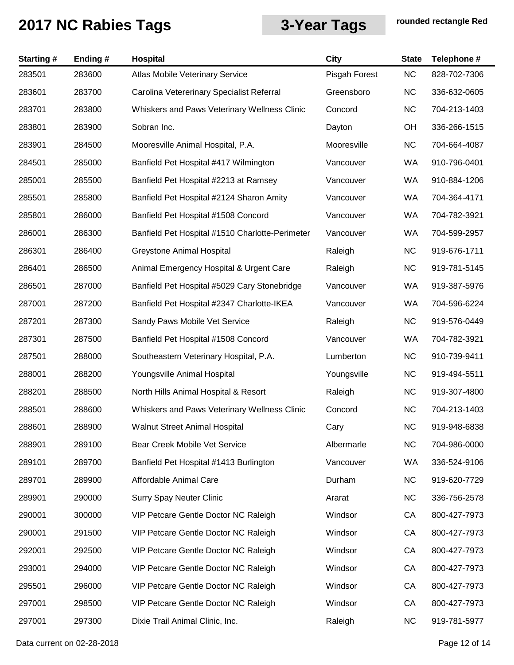| <b>Starting#</b> | Ending # | Hospital                                        | <b>City</b>   | <b>State</b> | Telephone #  |
|------------------|----------|-------------------------------------------------|---------------|--------------|--------------|
| 283501           | 283600   | <b>Atlas Mobile Veterinary Service</b>          | Pisgah Forest | <b>NC</b>    | 828-702-7306 |
| 283601           | 283700   | Carolina Vetererinary Specialist Referral       | Greensboro    | <b>NC</b>    | 336-632-0605 |
| 283701           | 283800   | Whiskers and Paws Veterinary Wellness Clinic    | Concord       | <b>NC</b>    | 704-213-1403 |
| 283801           | 283900   | Sobran Inc.                                     | Dayton        | OH           | 336-266-1515 |
| 283901           | 284500   | Mooresville Animal Hospital, P.A.               | Mooresville   | <b>NC</b>    | 704-664-4087 |
| 284501           | 285000   | Banfield Pet Hospital #417 Wilmington           | Vancouver     | WA           | 910-796-0401 |
| 285001           | 285500   | Banfield Pet Hospital #2213 at Ramsey           | Vancouver     | WA           | 910-884-1206 |
| 285501           | 285800   | Banfield Pet Hospital #2124 Sharon Amity        | Vancouver     | WA           | 704-364-4171 |
| 285801           | 286000   | Banfield Pet Hospital #1508 Concord             | Vancouver     | WA           | 704-782-3921 |
| 286001           | 286300   | Banfield Pet Hospital #1510 Charlotte-Perimeter | Vancouver     | WA           | 704-599-2957 |
| 286301           | 286400   | <b>Greystone Animal Hospital</b>                | Raleigh       | <b>NC</b>    | 919-676-1711 |
| 286401           | 286500   | Animal Emergency Hospital & Urgent Care         | Raleigh       | <b>NC</b>    | 919-781-5145 |
| 286501           | 287000   | Banfield Pet Hospital #5029 Cary Stonebridge    | Vancouver     | WA           | 919-387-5976 |
| 287001           | 287200   | Banfield Pet Hospital #2347 Charlotte-IKEA      | Vancouver     | WA           | 704-596-6224 |
| 287201           | 287300   | Sandy Paws Mobile Vet Service                   | Raleigh       | <b>NC</b>    | 919-576-0449 |
| 287301           | 287500   | Banfield Pet Hospital #1508 Concord             | Vancouver     | WA           | 704-782-3921 |
| 287501           | 288000   | Southeastern Veterinary Hospital, P.A.          | Lumberton     | <b>NC</b>    | 910-739-9411 |
| 288001           | 288200   | Youngsville Animal Hospital                     | Youngsville   | <b>NC</b>    | 919-494-5511 |
| 288201           | 288500   | North Hills Animal Hospital & Resort            | Raleigh       | <b>NC</b>    | 919-307-4800 |
| 288501           | 288600   | Whiskers and Paws Veterinary Wellness Clinic    | Concord       | <b>NC</b>    | 704-213-1403 |
| 288601           | 288900   | <b>Walnut Street Animal Hospital</b>            | Cary          | NC.          | 919-948-6838 |
| 288901           | 289100   | Bear Creek Mobile Vet Service                   | Albermarle    | <b>NC</b>    | 704-986-0000 |
| 289101           | 289700   | Banfield Pet Hospital #1413 Burlington          | Vancouver     | WA           | 336-524-9106 |
| 289701           | 289900   | Affordable Animal Care                          | Durham        | <b>NC</b>    | 919-620-7729 |
| 289901           | 290000   | <b>Surry Spay Neuter Clinic</b>                 | Ararat        | <b>NC</b>    | 336-756-2578 |
| 290001           | 300000   | VIP Petcare Gentle Doctor NC Raleigh            | Windsor       | CA           | 800-427-7973 |
| 290001           | 291500   | VIP Petcare Gentle Doctor NC Raleigh            | Windsor       | CA           | 800-427-7973 |
| 292001           | 292500   | VIP Petcare Gentle Doctor NC Raleigh            | Windsor       | CA           | 800-427-7973 |
| 293001           | 294000   | VIP Petcare Gentle Doctor NC Raleigh            | Windsor       | CA           | 800-427-7973 |
| 295501           | 296000   | VIP Petcare Gentle Doctor NC Raleigh            | Windsor       | CA           | 800-427-7973 |
| 297001           | 298500   | VIP Petcare Gentle Doctor NC Raleigh            | Windsor       | CA           | 800-427-7973 |
| 297001           | 297300   | Dixie Trail Animal Clinic, Inc.                 | Raleigh       | <b>NC</b>    | 919-781-5977 |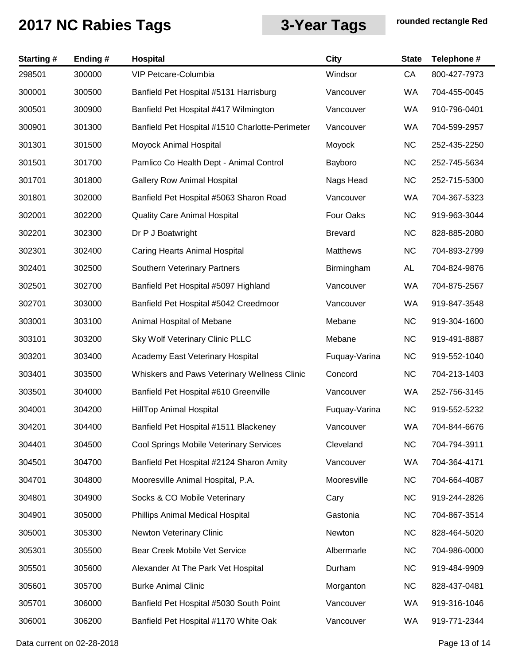| <b>Starting#</b> | Ending# | <b>Hospital</b>                                 | <b>City</b>     | <b>State</b> | Telephone #  |
|------------------|---------|-------------------------------------------------|-----------------|--------------|--------------|
| 298501           | 300000  | VIP Petcare-Columbia                            | Windsor         | CA           | 800-427-7973 |
| 300001           | 300500  | Banfield Pet Hospital #5131 Harrisburg          | Vancouver       | WA           | 704-455-0045 |
| 300501           | 300900  | Banfield Pet Hospital #417 Wilmington           | Vancouver       | WA           | 910-796-0401 |
| 300901           | 301300  | Banfield Pet Hospital #1510 Charlotte-Perimeter | Vancouver       | WA           | 704-599-2957 |
| 301301           | 301500  | Moyock Animal Hospital                          | Moyock          | <b>NC</b>    | 252-435-2250 |
| 301501           | 301700  | Pamlico Co Health Dept - Animal Control         | Bayboro         | <b>NC</b>    | 252-745-5634 |
| 301701           | 301800  | <b>Gallery Row Animal Hospital</b>              | Nags Head       | <b>NC</b>    | 252-715-5300 |
| 301801           | 302000  | Banfield Pet Hospital #5063 Sharon Road         | Vancouver       | WA           | 704-367-5323 |
| 302001           | 302200  | <b>Quality Care Animal Hospital</b>             | Four Oaks       | <b>NC</b>    | 919-963-3044 |
| 302201           | 302300  | Dr P J Boatwright                               | <b>Brevard</b>  | <b>NC</b>    | 828-885-2080 |
| 302301           | 302400  | Caring Hearts Animal Hospital                   | <b>Matthews</b> | <b>NC</b>    | 704-893-2799 |
| 302401           | 302500  | Southern Veterinary Partners                    | Birmingham      | AL           | 704-824-9876 |
| 302501           | 302700  | Banfield Pet Hospital #5097 Highland            | Vancouver       | WA           | 704-875-2567 |
| 302701           | 303000  | Banfield Pet Hospital #5042 Creedmoor           | Vancouver       | WA           | 919-847-3548 |
| 303001           | 303100  | Animal Hospital of Mebane                       | Mebane          | <b>NC</b>    | 919-304-1600 |
| 303101           | 303200  | Sky Wolf Veterinary Clinic PLLC                 | Mebane          | <b>NC</b>    | 919-491-8887 |
| 303201           | 303400  | Academy East Veterinary Hospital                | Fuquay-Varina   | <b>NC</b>    | 919-552-1040 |
| 303401           | 303500  | Whiskers and Paws Veterinary Wellness Clinic    | Concord         | <b>NC</b>    | 704-213-1403 |
| 303501           | 304000  | Banfield Pet Hospital #610 Greenville           | Vancouver       | WA           | 252-756-3145 |
| 304001           | 304200  | <b>HillTop Animal Hospital</b>                  | Fuquay-Varina   | <b>NC</b>    | 919-552-5232 |
| 304201           | 304400  | Banfield Pet Hospital #1511 Blackeney           | Vancouver       | WA.          | 704-844-6676 |
| 304401           | 304500  | Cool Springs Mobile Veterinary Services         | Cleveland       | <b>NC</b>    | 704-794-3911 |
| 304501           | 304700  | Banfield Pet Hospital #2124 Sharon Amity        | Vancouver       | <b>WA</b>    | 704-364-4171 |
| 304701           | 304800  | Mooresville Animal Hospital, P.A.               | Mooresville     | <b>NC</b>    | 704-664-4087 |
| 304801           | 304900  | Socks & CO Mobile Veterinary                    | Cary            | <b>NC</b>    | 919-244-2826 |
| 304901           | 305000  | Phillips Animal Medical Hospital                | Gastonia        | <b>NC</b>    | 704-867-3514 |
| 305001           | 305300  | Newton Veterinary Clinic                        | Newton          | <b>NC</b>    | 828-464-5020 |
| 305301           | 305500  | Bear Creek Mobile Vet Service                   | Albermarle      | <b>NC</b>    | 704-986-0000 |
| 305501           | 305600  | Alexander At The Park Vet Hospital              | Durham          | <b>NC</b>    | 919-484-9909 |
| 305601           | 305700  | <b>Burke Animal Clinic</b>                      | Morganton       | <b>NC</b>    | 828-437-0481 |
| 305701           | 306000  | Banfield Pet Hospital #5030 South Point         | Vancouver       | WA           | 919-316-1046 |
| 306001           | 306200  | Banfield Pet Hospital #1170 White Oak           | Vancouver       | WA           | 919-771-2344 |
|                  |         |                                                 |                 |              |              |